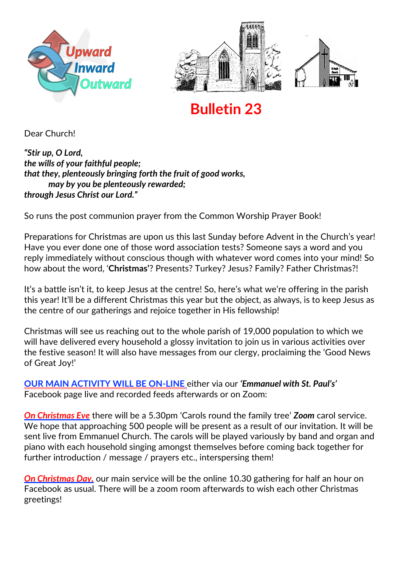





# **Bulletin 23**

Dear Church!

*"Stir up, O Lord, the wills of your faithful people; that they, plenteously bringing forth the fruit of good works, may by you be plenteously rewarded; through Jesus Christ our Lord."*

So runs the post communion prayer from the Common Worship Prayer Book!

Preparations for Christmas are upon us this last Sunday before Advent in the Church's year! Have you ever done one of those word association tests? Someone says a word and you reply immediately without conscious though with whatever word comes into your mind! So how about the word, '**Christmas'**? Presents? Turkey? Jesus? Family? Father Christmas?!

It's a battle isn't it, to keep Jesus at the centre! So, here's what we're offering in the parish this year! It'll be a different Christmas this year but the object, as always, is to keep Jesus as the centre of our gatherings and rejoice together in His fellowship!

Christmas will see us reaching out to the whole parish of 19,000 population to which we will have delivered every household a glossy invitation to join us in various activities over the festive season! It will also have messages from our clergy, proclaiming the 'Good News of Great Joy!'

**OUR MAIN ACTIVITY WILL BE ON-LINE** either via our *'Emmanuel with St. Paul's'* Facebook page live and recorded feeds afterwards or on Zoom:

*On Christmas Eve* there will be a 5.30pm 'Carols round the family tree' *Zoom* carol service. We hope that approaching 500 people will be present as a result of our invitation. It will be sent live from Emmanuel Church. The carols will be played variously by band and organ and piano with each household singing amongst themselves before coming back together for further introduction / message / prayers etc., interspersing them!

*On Christmas Day,* our main service will be the online 10.30 gathering for half an hour on Facebook as usual. There will be a zoom room afterwards to wish each other Christmas greetings!